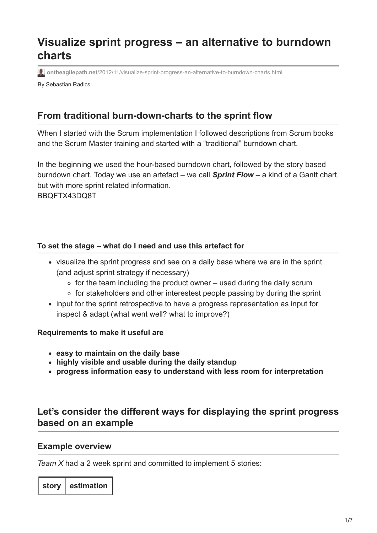# **Visualize sprint progress – an alternative to burndown charts**

**ontheagilepath.net**[/2012/11/visualize-sprint-progress-an-alternative-to-burndown-charts.html](https://www.ontheagilepath.net/2012/11/visualize-sprint-progress-an-alternative-to-burndown-charts.html)

By Sebastian Radics

# **From traditional burn-down-charts to the sprint flow**

When I started with the Scrum implementation I followed descriptions from Scrum books and the Scrum Master training and started with a "traditional" burndown chart.

In the beginning we used the hour-based burndown chart, followed by the story based burndown chart. Today we use an artefact – we call *Sprint Flow* **–** a kind of a Gantt chart, but with more sprint related information. BBQFTX43DQ8T

### **To set the stage – what do I need and use this artefact for**

- visualize the sprint progress and see on a daily base where we are in the sprint (and adjust sprint strategy if necessary)
	- $\circ$  for the team including the product owner used during the daily scrum
	- ∘ for stakeholders and other interestest people passing by during the sprint
- input for the sprint retrospective to have a progress representation as input for inspect & adapt (what went well? what to improve?)

**Requirements to make it useful are**

- **easy to maintain on the daily base**
- **highly visible and usable during the daily standup**
- **progress information easy to understand with less room for interpretation**

# **Let's consider the different ways for displaying the sprint progress based on an example**

#### **Example overview**

*Team X* had a 2 week sprint and committed to implement 5 stories:

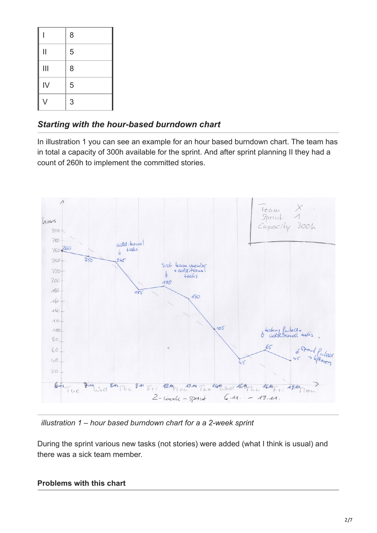|                         | 8 |
|-------------------------|---|
| $\overline{\mathsf{I}}$ | 5 |
| $\mathop{  }}$          | 8 |
| IV                      | 5 |
| V                       | 3 |

## *Starting with the hour-based burndown chart*

In illustration 1 you can see an example for an hour based burndown chart. The team has in total a capacity of 300h available for the sprint. And after sprint planning II they had a count of 260h to implement the committed stories.



*illustration 1 – hour based burndown chart for a a 2-week sprint*

During the sprint various new tasks (not stories) were added (what I think is usual) and there was a sick team member.

## **Problems with this chart**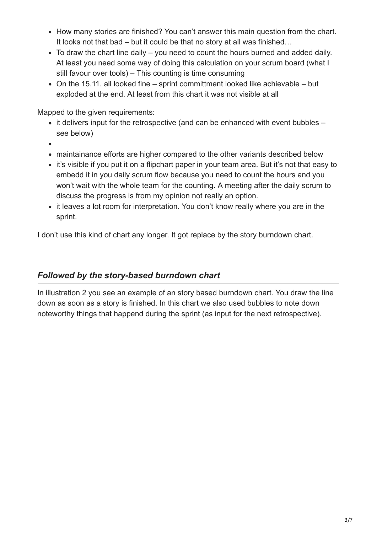- How many stories are finished? You can't answer this main question from the chart. It looks not that bad – but it could be that no story at all was finished…
- To draw the chart line daily you need to count the hours burned and added daily. At least you need some way of doing this calculation on your scrum board (what I still favour over tools) – This counting is time consuming
- On the 15.11. all looked fine sprint committment looked like achievable but exploded at the end. At least from this chart it was not visible at all

Mapped to the given requirements:

- it delivers input for the retrospective (and can be enhanced with event bubbles see below)
- 
- maintainance efforts are higher compared to the other variants described below
- it's visible if you put it on a flipchart paper in your team area. But it's not that easy to embedd it in you daily scrum flow because you need to count the hours and you won't wait with the whole team for the counting. A meeting after the daily scrum to discuss the progress is from my opinion not really an option.
- it leaves a lot room for interpretation. You don't know really where you are in the sprint.

I don't use this kind of chart any longer. It got replace by the story burndown chart.

## *Followed by the story-based burndown chart*

In illustration 2 you see an example of an story based burndown chart. You draw the line down as soon as a story is finished. In this chart we also used bubbles to note down noteworthy things that happend during the sprint (as input for the next retrospective).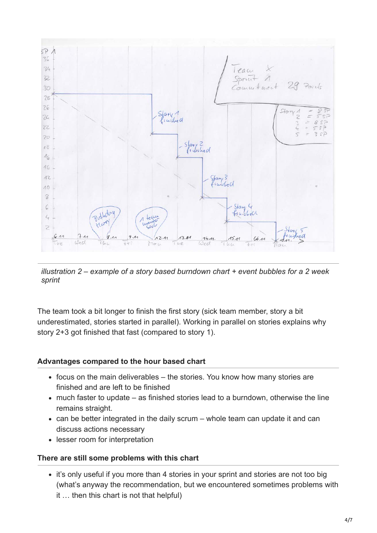

*illustration 2 – example of a story based burndown chart + event bubbles for a 2 week sprint*

The team took a bit longer to finish the first story (sick team member, story a bit underestimated, stories started in parallel). Working in parallel on stories explains why story 2+3 got finished that fast (compared to story 1).

#### **Advantages compared to the hour based chart**

- focus on the main deliverables the stories. You know how many stories are finished and are left to be finished
- much faster to update as finished stories lead to a burndown, otherwise the line remains straight.
- can be better integrated in the daily scrum whole team can update it and can discuss actions necessary
- lesser room for interpretation

#### **There are still some problems with this chart**

• it's only useful if you more than 4 stories in your sprint and stories are not too big (what's anyway the recommendation, but we encountered sometimes problems with it … then this chart is not that helpful)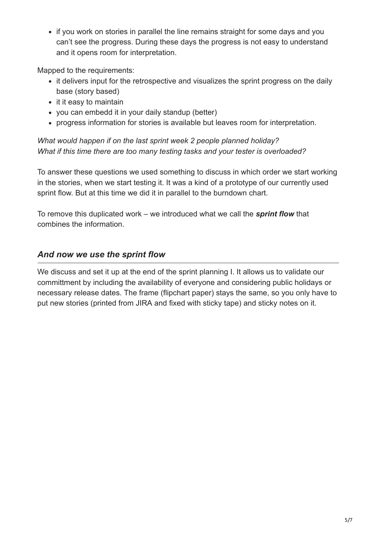• if you work on stories in parallel the line remains straight for some days and you can't see the progress. During these days the progress is not easy to understand and it opens room for interpretation.

Mapped to the requirements:

- it delivers input for the retrospective and visualizes the sprint progress on the daily base (story based)
- $\bullet$  it it easy to maintain
- you can embedd it in your daily standup (better)
- progress information for stories is available but leaves room for interpretation.

*What would happen if on the last sprint week 2 people planned holiday? What if this time there are too many testing tasks and your tester is overloaded?*

To answer these questions we used something to discuss in which order we start working in the stories, when we start testing it. It was a kind of a prototype of our currently used sprint flow. But at this time we did it in parallel to the burndown chart.

To remove this duplicated work – we introduced what we call the *sprint flow* that combines the information.

## *And now we use the sprint flow*

We discuss and set it up at the end of the sprint planning I. It allows us to validate our committment by including the availability of everyone and considering public holidays or necessary release dates. The frame (flipchart paper) stays the same, so you only have to put new stories (printed from JIRA and fixed with sticky tape) and sticky notes on it.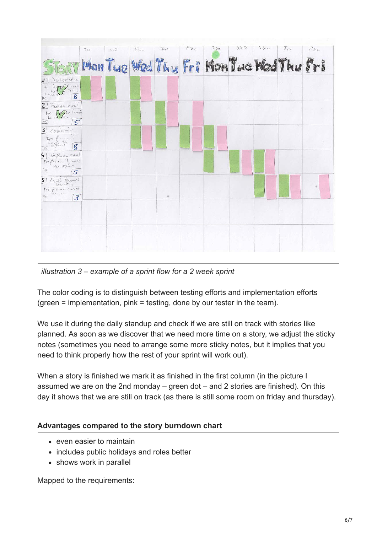

*illustration 3 – example of a sprint flow for a 2 week sprint*

The color coding is to distinguish between testing efforts and implementation efforts (green = implementation, pink = testing, done by our tester in the team).

We use it during the daily standup and check if we are still on track with stories like planned. As soon as we discover that we need more time on a story, we adjust the sticky notes (sometimes you need to arrange some more sticky notes, but it implies that you need to think properly how the rest of your sprint will work out).

When a story is finished we mark it as finished in the first column (in the picture I assumed we are on the 2nd monday – green dot – and 2 stories are finished). On this day it shows that we are still on track (as there is still some room on friday and thursday).

#### **Advantages compared to the story burndown chart**

- even easier to maintain
- includes public holidays and roles better
- shows work in parallel

Mapped to the requirements: